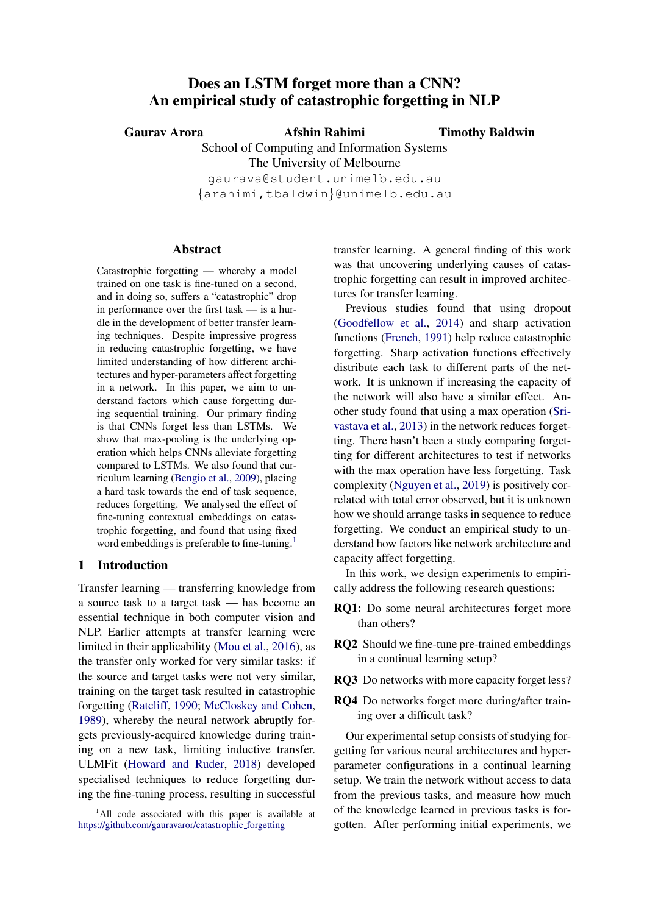# <span id="page-0-0"></span>Does an LSTM forget more than a CNN? An empirical study of catastrophic forgetting in NLP

Gaurav Arora Afshin Rahimi

Timothy Baldwin

School of Computing and Information Systems The University of Melbourne gaurava@student.unimelb.edu.au

{arahimi,tbaldwin}@unimelb.edu.au

## Abstract

Catastrophic forgetting — whereby a model trained on one task is fine-tuned on a second, and in doing so, suffers a "catastrophic" drop in performance over the first task — is a hurdle in the development of better transfer learning techniques. Despite impressive progress in reducing catastrophic forgetting, we have limited understanding of how different architectures and hyper-parameters affect forgetting in a network. In this paper, we aim to understand factors which cause forgetting during sequential training. Our primary finding is that CNNs forget less than LSTMs. We show that max-pooling is the underlying operation which helps CNNs alleviate forgetting compared to LSTMs. We also found that curriculum learning [\(Bengio et al.,](#page-8-0) [2009\)](#page-8-0), placing a hard task towards the end of task sequence, reduces forgetting. We analysed the effect of fine-tuning contextual embeddings on catastrophic forgetting, and found that using fixed word embeddings is preferable to fine-tuning.<sup>1</sup>

## 1 Introduction

Transfer learning — transferring knowledge from a source task to a target task — has become an essential technique in both computer vision and NLP. Earlier attempts at transfer learning were limited in their applicability [\(Mou et al.,](#page-9-0) [2016\)](#page-9-0), as the transfer only worked for very similar tasks: if the source and target tasks were not very similar, training on the target task resulted in catastrophic forgetting [\(Ratcliff,](#page-9-1) [1990;](#page-9-1) [McCloskey and Cohen,](#page-9-2) [1989\)](#page-9-2), whereby the neural network abruptly forgets previously-acquired knowledge during training on a new task, limiting inductive transfer. ULMFit [\(Howard and Ruder,](#page-8-1) [2018\)](#page-8-1) developed specialised techniques to reduce forgetting during the fine-tuning process, resulting in successful transfer learning. A general finding of this work was that uncovering underlying causes of catastrophic forgetting can result in improved architectures for transfer learning.

Previous studies found that using dropout [\(Goodfellow et al.,](#page-8-2) [2014\)](#page-8-2) and sharp activation functions [\(French,](#page-8-3) [1991\)](#page-8-3) help reduce catastrophic forgetting. Sharp activation functions effectively distribute each task to different parts of the network. It is unknown if increasing the capacity of the network will also have a similar effect. Another study found that using a max operation [\(Sri](#page-9-3)[vastava et al.,](#page-9-3) [2013\)](#page-9-3) in the network reduces forgetting. There hasn't been a study comparing forgetting for different architectures to test if networks with the max operation have less forgetting. Task complexity [\(Nguyen et al.,](#page-9-4) [2019\)](#page-9-4) is positively correlated with total error observed, but it is unknown how we should arrange tasks in sequence to reduce forgetting. We conduct an empirical study to understand how factors like network architecture and capacity affect forgetting.

In this work, we design experiments to empirically address the following research questions:

- RQ1: Do some neural architectures forget more than others?
- RQ2 Should we fine-tune pre-trained embeddings in a continual learning setup?
- RQ3 Do networks with more capacity forget less?
- RQ4 Do networks forget more during/after training over a difficult task?

Our experimental setup consists of studying forgetting for various neural architectures and hyperparameter configurations in a continual learning setup. We train the network without access to data from the previous tasks, and measure how much of the knowledge learned in previous tasks is forgotten. After performing initial experiments, we

 $1$ All code associated with this paper is available at [https://github.com/gauravaror/catastrophic](https://github.com/gauravaror/catastrophic_forgetting)\_forgetting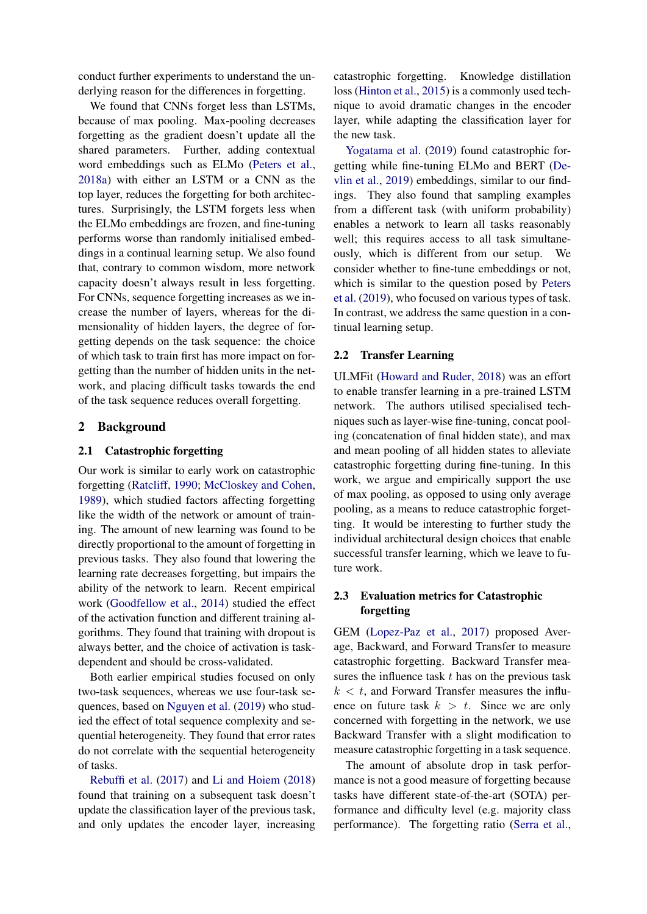conduct further experiments to understand the underlying reason for the differences in forgetting.

We found that CNNs forget less than LSTMs, because of max pooling. Max-pooling decreases forgetting as the gradient doesn't update all the shared parameters. Further, adding contextual word embeddings such as ELMo [\(Peters et al.,](#page-9-5) [2018a\)](#page-9-5) with either an LSTM or a CNN as the top layer, reduces the forgetting for both architectures. Surprisingly, the LSTM forgets less when the ELMo embeddings are frozen, and fine-tuning performs worse than randomly initialised embeddings in a continual learning setup. We also found that, contrary to common wisdom, more network capacity doesn't always result in less forgetting. For CNNs, sequence forgetting increases as we increase the number of layers, whereas for the dimensionality of hidden layers, the degree of forgetting depends on the task sequence: the choice of which task to train first has more impact on forgetting than the number of hidden units in the network, and placing difficult tasks towards the end of the task sequence reduces overall forgetting.

## 2 Background

#### 2.1 Catastrophic forgetting

Our work is similar to early work on catastrophic forgetting [\(Ratcliff,](#page-9-1) [1990;](#page-9-1) [McCloskey and Cohen,](#page-9-2) [1989\)](#page-9-2), which studied factors affecting forgetting like the width of the network or amount of training. The amount of new learning was found to be directly proportional to the amount of forgetting in previous tasks. They also found that lowering the learning rate decreases forgetting, but impairs the ability of the network to learn. Recent empirical work [\(Goodfellow et al.,](#page-8-2) [2014\)](#page-8-2) studied the effect of the activation function and different training algorithms. They found that training with dropout is always better, and the choice of activation is taskdependent and should be cross-validated.

Both earlier empirical studies focused on only two-task sequences, whereas we use four-task sequences, based on [Nguyen et al.](#page-9-4) [\(2019\)](#page-9-4) who studied the effect of total sequence complexity and sequential heterogeneity. They found that error rates do not correlate with the sequential heterogeneity of tasks.

[Rebuffi et al.](#page-9-6) [\(2017\)](#page-9-6) and [Li and Hoiem](#page-9-7) [\(2018\)](#page-9-7) found that training on a subsequent task doesn't update the classification layer of the previous task, and only updates the encoder layer, increasing

catastrophic forgetting. Knowledge distillation loss [\(Hinton et al.,](#page-8-4) [2015\)](#page-8-4) is a commonly used technique to avoid dramatic changes in the encoder layer, while adapting the classification layer for the new task.

[Yogatama et al.](#page-9-8) [\(2019\)](#page-9-8) found catastrophic forgetting while fine-tuning ELMo and BERT [\(De](#page-8-5)[vlin et al.,](#page-8-5) [2019\)](#page-8-5) embeddings, similar to our findings. They also found that sampling examples from a different task (with uniform probability) enables a network to learn all tasks reasonably well; this requires access to all task simultaneously, which is different from our setup. We consider whether to fine-tune embeddings or not, which is similar to the question posed by [Peters](#page-9-9) [et al.](#page-9-9) [\(2019\)](#page-9-9), who focused on various types of task. In contrast, we address the same question in a continual learning setup.

#### 2.2 Transfer Learning

ULMFit [\(Howard and Ruder,](#page-8-1) [2018\)](#page-8-1) was an effort to enable transfer learning in a pre-trained LSTM network. The authors utilised specialised techniques such as layer-wise fine-tuning, concat pooling (concatenation of final hidden state), and max and mean pooling of all hidden states to alleviate catastrophic forgetting during fine-tuning. In this work, we argue and empirically support the use of max pooling, as opposed to using only average pooling, as a means to reduce catastrophic forgetting. It would be interesting to further study the individual architectural design choices that enable successful transfer learning, which we leave to future work.

## 2.3 Evaluation metrics for Catastrophic forgetting

GEM [\(Lopez-Paz et al.,](#page-9-10) [2017\)](#page-9-10) proposed Average, Backward, and Forward Transfer to measure catastrophic forgetting. Backward Transfer measures the influence task  $t$  has on the previous task  $k < t$ , and Forward Transfer measures the influence on future task  $k > t$ . Since we are only concerned with forgetting in the network, we use Backward Transfer with a slight modification to measure catastrophic forgetting in a task sequence.

The amount of absolute drop in task performance is not a good measure of forgetting because tasks have different state-of-the-art (SOTA) performance and difficulty level (e.g. majority class performance). The forgetting ratio [\(Serra et al.,](#page-9-11)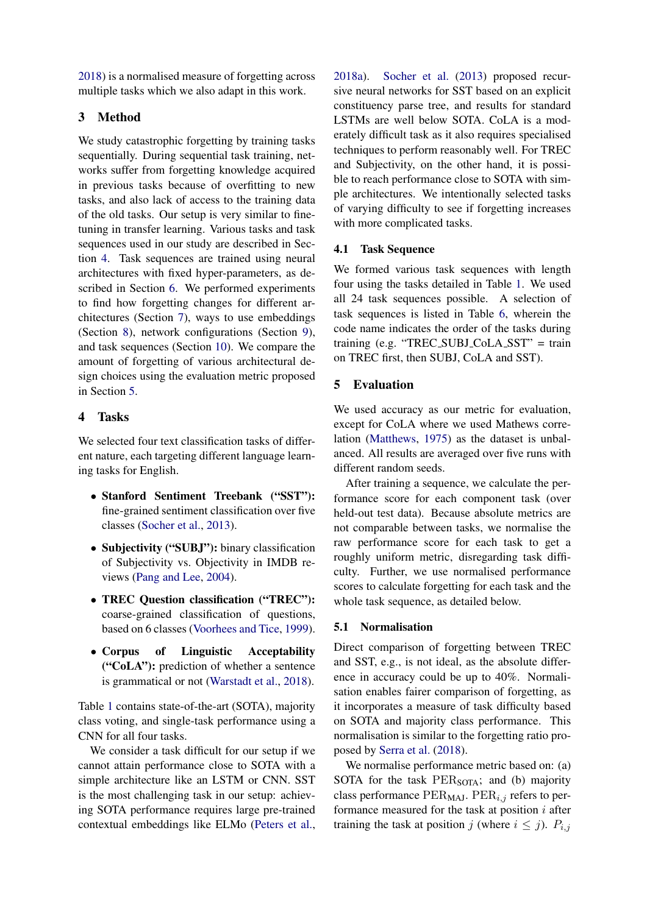[2018\)](#page-9-11) is a normalised measure of forgetting across multiple tasks which we also adapt in this work.

# 3 Method

We study catastrophic forgetting by training tasks sequentially. During sequential task training, networks suffer from forgetting knowledge acquired in previous tasks because of overfitting to new tasks, and also lack of access to the training data of the old tasks. Our setup is very similar to finetuning in transfer learning. Various tasks and task sequences used in our study are described in Section [4.](#page-2-0) Task sequences are trained using neural architectures with fixed hyper-parameters, as described in Section [6.](#page-3-0) We performed experiments to find how forgetting changes for different architectures (Section [7\)](#page-3-1), ways to use embeddings (Section [8\)](#page-4-0), network configurations (Section [9\)](#page-5-0), and task sequences (Section [10\)](#page-6-0). We compare the amount of forgetting of various architectural design choices using the evaluation metric proposed in Section [5.](#page-2-1)

# <span id="page-2-0"></span>4 Tasks

We selected four text classification tasks of different nature, each targeting different language learning tasks for English.

- Stanford Sentiment Treebank ("SST"): fine-grained sentiment classification over five classes [\(Socher et al.,](#page-9-12) [2013\)](#page-9-12).
- Subjectivity ("SUBJ"): binary classification of Subjectivity vs. Objectivity in IMDB reviews [\(Pang and Lee,](#page-9-13) [2004\)](#page-9-13).
- TREC Question classification ("TREC"): coarse-grained classification of questions, based on 6 classes [\(Voorhees and Tice,](#page-9-14) [1999\)](#page-9-14).
- Corpus of Linguistic Acceptability ("CoLA"): prediction of whether a sentence is grammatical or not [\(Warstadt et al.,](#page-9-15) [2018\)](#page-9-15).

Table [1](#page-3-2) contains state-of-the-art (SOTA), majority class voting, and single-task performance using a CNN for all four tasks.

We consider a task difficult for our setup if we cannot attain performance close to SOTA with a simple architecture like an LSTM or CNN. SST is the most challenging task in our setup: achieving SOTA performance requires large pre-trained contextual embeddings like ELMo [\(Peters et al.,](#page-9-5)

[2018a\)](#page-9-5). [Socher et al.](#page-9-12) [\(2013\)](#page-9-12) proposed recursive neural networks for SST based on an explicit constituency parse tree, and results for standard LSTMs are well below SOTA. CoLA is a moderately difficult task as it also requires specialised techniques to perform reasonably well. For TREC and Subjectivity, on the other hand, it is possible to reach performance close to SOTA with simple architectures. We intentionally selected tasks of varying difficulty to see if forgetting increases with more complicated tasks.

## 4.1 Task Sequence

We formed various task sequences with length four using the tasks detailed in Table [1.](#page-3-2) We used all 24 task sequences possible. A selection of task sequences is listed in Table [6,](#page-7-0) wherein the code name indicates the order of the tasks during training (e.g. "TREC SUBJ CoLA SST" = train on TREC first, then SUBJ, CoLA and SST).

# <span id="page-2-1"></span>5 Evaluation

We used accuracy as our metric for evaluation, except for CoLA where we used Mathews correlation [\(Matthews,](#page-9-16) [1975\)](#page-9-16) as the dataset is unbalanced. All results are averaged over five runs with different random seeds.

After training a sequence, we calculate the performance score for each component task (over held-out test data). Because absolute metrics are not comparable between tasks, we normalise the raw performance score for each task to get a roughly uniform metric, disregarding task difficulty. Further, we use normalised performance scores to calculate forgetting for each task and the whole task sequence, as detailed below.

## 5.1 Normalisation

Direct comparison of forgetting between TREC and SST, e.g., is not ideal, as the absolute difference in accuracy could be up to 40%. Normalisation enables fairer comparison of forgetting, as it incorporates a measure of task difficulty based on SOTA and majority class performance. This normalisation is similar to the forgetting ratio proposed by [Serra et al.](#page-9-11) [\(2018\)](#page-9-11).

We normalise performance metric based on: (a) SOTA for the task PER<sub>SOTA</sub>; and (b) majority class performance  $PER_{MAJ}$ .  $PER_{i,j}$  refers to performance measured for the task at position  $i$  after training the task at position j (where  $i \leq j$ ).  $P_{i,j}$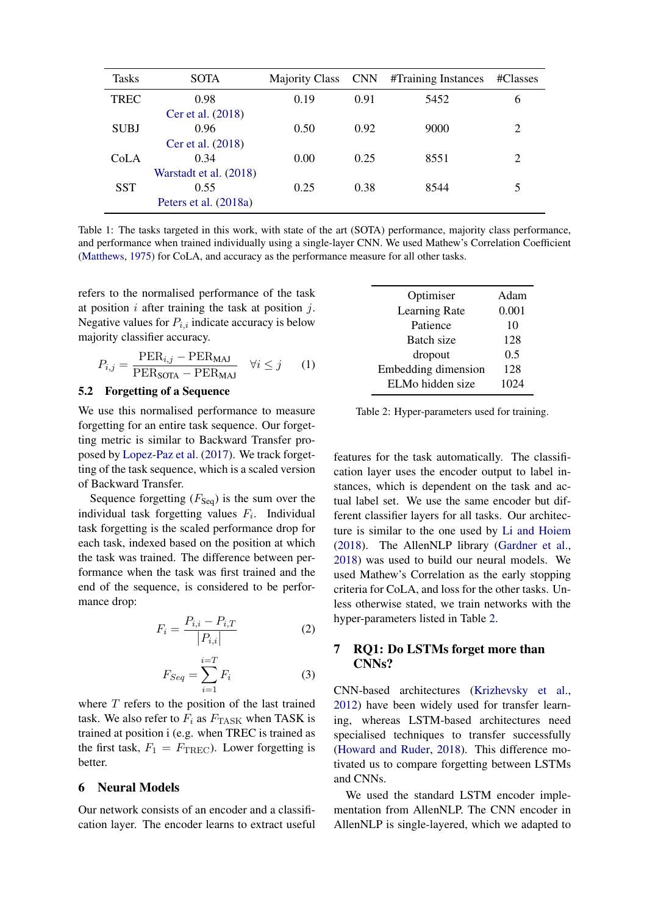<span id="page-3-2"></span>

| <b>Tasks</b> | <b>SOTA</b>            | <b>Majority Class</b> | <b>CNN</b> | #Training Instances | #Classes       |
|--------------|------------------------|-----------------------|------------|---------------------|----------------|
| TREC         | 0.98                   | 0.19                  | 0.91       | 5452                | 6              |
|              | Cer et al. (2018)      |                       |            |                     |                |
| <b>SUBJ</b>  | 0.96                   | 0.50                  | 0.92       | 9000                | $\overline{2}$ |
|              | Cer et al. (2018)      |                       |            |                     |                |
| CoLA         | 0.34                   | 0.00                  | 0.25       | 8551                | $\overline{2}$ |
|              | Warstadt et al. (2018) |                       |            |                     |                |
| <b>SST</b>   | 0.55                   | 0.25                  | 0.38       | 8544                |                |
|              | Peters et al. (2018a)  |                       |            |                     |                |

Table 1: The tasks targeted in this work, with state of the art (SOTA) performance, majority class performance, and performance when trained individually using a single-layer CNN. We used Mathew's Correlation Coefficient [\(Matthews,](#page-9-16) [1975\)](#page-9-16) for CoLA, and accuracy as the performance measure for all other tasks.

refers to the normalised performance of the task at position  $i$  after training the task at position  $j$ . Negative values for  $P_{i,i}$  indicate accuracy is below majority classifier accuracy.

$$
P_{i,j} = \frac{\text{PER}_{i,j} - \text{PER}_{\text{MAJ}}}{\text{PER}_{\text{SOTA}} - \text{PER}_{\text{MAJ}}} \quad \forall i \leq j \qquad (1)
$$

#### 5.2 Forgetting of a Sequence

We use this normalised performance to measure forgetting for an entire task sequence. Our forgetting metric is similar to Backward Transfer proposed by [Lopez-Paz et al.](#page-9-10) [\(2017\)](#page-9-10). We track forgetting of the task sequence, which is a scaled version of Backward Transfer.

Sequence forgetting  $(F_{\text{Seq}})$  is the sum over the individual task forgetting values  $F_i$ . Individual task forgetting is the scaled performance drop for each task, indexed based on the position at which the task was trained. The difference between performance when the task was first trained and the end of the sequence, is considered to be performance drop:

$$
F_i = \frac{P_{i,i} - P_{i,T}}{|P_{i,i}|}
$$
 (2)

$$
F_{Seq} = \sum_{i=1}^{i=T} F_i
$$
 (3)

where  $T$  refers to the position of the last trained task. We also refer to  $F_i$  as  $F_{\text{TASK}}$  when TASK is trained at position i (e.g. when TREC is trained as the first task,  $F_1 = F_{\text{TREC}}$ . Lower forgetting is better.

## <span id="page-3-0"></span>6 Neural Models

Our network consists of an encoder and a classification layer. The encoder learns to extract useful

<span id="page-3-3"></span>

| Optimiser           | Adam  |
|---------------------|-------|
| Learning Rate       | 0.001 |
| Patience            | 10    |
| Batch size          | 128   |
| dropout             | 0.5   |
| Embedding dimension | 128   |
| ELMo hidden size    | 1024  |

Table 2: Hyper-parameters used for training.

features for the task automatically. The classification layer uses the encoder output to label instances, which is dependent on the task and actual label set. We use the same encoder but different classifier layers for all tasks. Our architecture is similar to the one used by [Li and Hoiem](#page-9-7) [\(2018\)](#page-9-7). The AllenNLP library [\(Gardner et al.,](#page-8-7) [2018\)](#page-8-7) was used to build our neural models. We used Mathew's Correlation as the early stopping criteria for CoLA, and loss for the other tasks. Unless otherwise stated, we train networks with the hyper-parameters listed in Table [2.](#page-3-3)

## <span id="page-3-1"></span>7 RQ1: Do LSTMs forget more than CNNs?

CNN-based architectures [\(Krizhevsky et al.,](#page-9-17) [2012\)](#page-9-17) have been widely used for transfer learning, whereas LSTM-based architectures need specialised techniques to transfer successfully [\(Howard and Ruder,](#page-8-1) [2018\)](#page-8-1). This difference motivated us to compare forgetting between LSTMs and CNNs.

We used the standard LSTM encoder implementation from AllenNLP. The CNN encoder in AllenNLP is single-layered, which we adapted to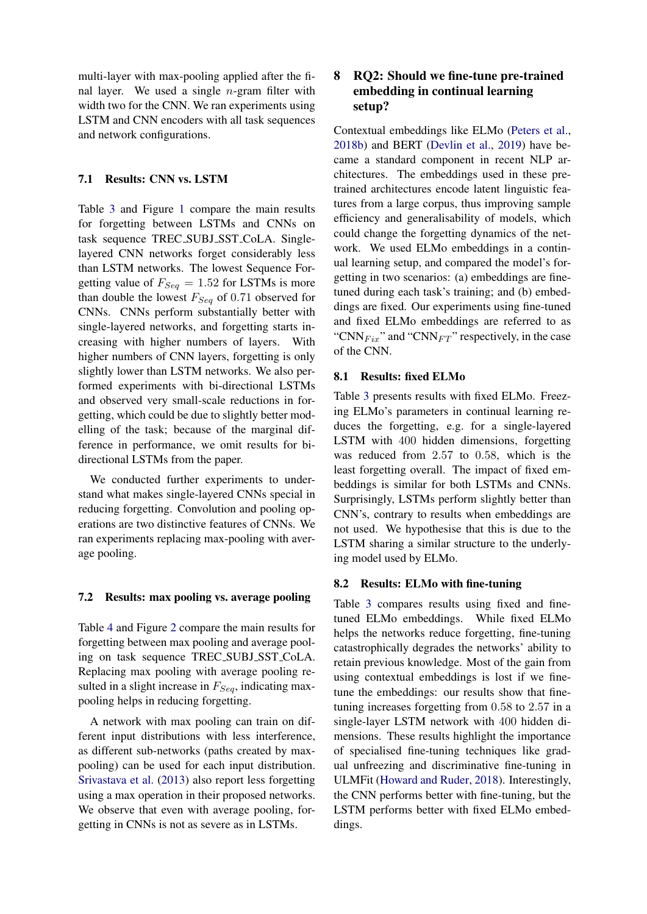multi-layer with max-pooling applied after the final layer. We used a single  $n$ -gram filter with width two for the CNN. We ran experiments using LSTM and CNN encoders with all task sequences and network configurations.

## 7.1 Results: CNN vs. LSTM

Table [3](#page-5-1) and Figure [1](#page-5-2) compare the main results for forgetting between LSTMs and CNNs on task sequence TREC SUBJ SST CoLA. Singlelayered CNN networks forget considerably less than LSTM networks. The lowest Sequence Forgetting value of  $F_{Seq} = 1.52$  for LSTMs is more than double the lowest  $F_{Seq}$  of 0.71 observed for CNNs. CNNs perform substantially better with single-layered networks, and forgetting starts increasing with higher numbers of layers. With higher numbers of CNN layers, forgetting is only slightly lower than LSTM networks. We also performed experiments with bi-directional LSTMs and observed very small-scale reductions in forgetting, which could be due to slightly better modelling of the task; because of the marginal difference in performance, we omit results for bidirectional LSTMs from the paper.

We conducted further experiments to understand what makes single-layered CNNs special in reducing forgetting. Convolution and pooling operations are two distinctive features of CNNs. We ran experiments replacing max-pooling with average pooling.

## 7.2 Results: max pooling vs. average pooling

Table [4](#page-5-3) and Figure [2](#page-6-1) compare the main results for forgetting between max pooling and average pooling on task sequence TREC SUBJ SST CoLA. Replacing max pooling with average pooling resulted in a slight increase in  $F_{Seq}$ , indicating maxpooling helps in reducing forgetting.

A network with max pooling can train on different input distributions with less interference, as different sub-networks (paths created by maxpooling) can be used for each input distribution. [Srivastava et al.](#page-9-3) [\(2013\)](#page-9-3) also report less forgetting using a max operation in their proposed networks. We observe that even with average pooling, forgetting in CNNs is not as severe as in LSTMs.

# <span id="page-4-0"></span>8 RQ2: Should we fine-tune pre-trained embedding in continual learning setup?

Contextual embeddings like ELMo [\(Peters et al.,](#page-9-18) [2018b\)](#page-9-18) and BERT [\(Devlin et al.,](#page-8-5) [2019\)](#page-8-5) have became a standard component in recent NLP architectures. The embeddings used in these pretrained architectures encode latent linguistic features from a large corpus, thus improving sample efficiency and generalisability of models, which could change the forgetting dynamics of the network. We used ELMo embeddings in a continual learning setup, and compared the model's forgetting in two scenarios: (a) embeddings are finetuned during each task's training; and (b) embeddings are fixed. Our experiments using fine-tuned and fixed ELMo embeddings are referred to as "CNN $_{Fix}$ " and "CNN $_{FT}$ " respectively, in the case of the CNN.

## 8.1 Results: fixed ELMo

Table [3](#page-5-1) presents results with fixed ELMo. Freezing ELMo's parameters in continual learning reduces the forgetting, e.g. for a single-layered LSTM with 400 hidden dimensions, forgetting was reduced from 2.57 to 0.58, which is the least forgetting overall. The impact of fixed embeddings is similar for both LSTMs and CNNs. Surprisingly, LSTMs perform slightly better than CNN's, contrary to results when embeddings are not used. We hypothesise that this is due to the LSTM sharing a similar structure to the underlying model used by ELMo.

## 8.2 Results: ELMo with fine-tuning

Table [3](#page-5-1) compares results using fixed and finetuned ELMo embeddings. While fixed ELMo helps the networks reduce forgetting, fine-tuning catastrophically degrades the networks' ability to retain previous knowledge. Most of the gain from using contextual embeddings is lost if we finetune the embeddings: our results show that finetuning increases forgetting from 0.58 to 2.57 in a single-layer LSTM network with 400 hidden dimensions. These results highlight the importance of specialised fine-tuning techniques like gradual unfreezing and discriminative fine-tuning in ULMFit [\(Howard and Ruder,](#page-8-1) [2018\)](#page-8-1). Interestingly, the CNN performs better with fine-tuning, but the LSTM performs better with fixed ELMo embeddings.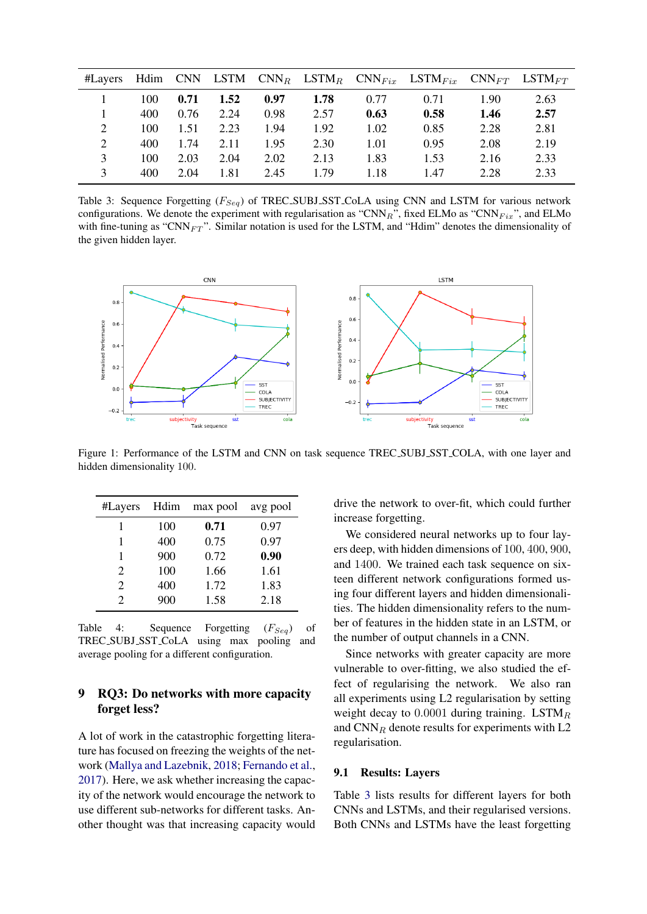<span id="page-5-1"></span>

| #Layers |     |      | Hdim CNN LSTM |      |      |      | $\text{CNN}_R$ LSTM <sub>R</sub> $\text{CNN}_{Fix}$ LSTM <sub>Fix</sub> $\text{CNN}_{FT}$ LSTM <sub>FT</sub> |      |      |
|---------|-----|------|---------------|------|------|------|--------------------------------------------------------------------------------------------------------------|------|------|
|         | 100 | 0.71 | 1.52          | 0.97 | 1.78 | 0.77 | 0.71                                                                                                         | 1.90 | 2.63 |
|         | 400 | 0.76 | 2.24          | 0.98 | 2.57 | 0.63 | 0.58                                                                                                         | 1.46 | 2.57 |
|         | 100 | 1.51 | 2.23          | 1.94 | 1.92 | 1.02 | 0.85                                                                                                         | 2.28 | 2.81 |
|         | 400 | 1.74 | 2.11          | 1.95 | 2.30 | 1.01 | 0.95                                                                                                         | 2.08 | 2.19 |
|         | 100 | 2.03 | 2.04          | 2.02 | 2.13 | 1.83 | 1.53                                                                                                         | 2.16 | 2.33 |
|         | 400 | 2.04 | 1.81          | 2.45 | 1.79 | 1.18 | 1.47                                                                                                         | 2.28 | 2.33 |

Table 3: Sequence Forgetting  $(F_{Seq})$  of TREC\_SUBJ\_SST\_CoLA using CNN and LSTM for various network configurations. We denote the experiment with regularisation as "CNN $_R$ ", fixed ELMo as "CNN $_{Fix}$ ", and ELMo with fine-tuning as "CNN $_{FT}$ ". Similar notation is used for the LSTM, and "Hdim" denotes the dimensionality of the given hidden layer.

<span id="page-5-2"></span>

Figure 1: Performance of the LSTM and CNN on task sequence TREC SUBJ SST COLA, with one layer and hidden dimensionality 100.

<span id="page-5-3"></span>

| #Layers       | Hdim | max pool | avg pool |
|---------------|------|----------|----------|
| 1             | 100  | 0.71     | 0.97     |
| 1             | 400  | 0.75     | 0.97     |
| 1             | 900  | 0.72     | 0.90     |
| 2             | 100  | 1.66     | 1.61     |
| 2             | 400  | 1.72     | 1.83     |
| $\mathcal{D}$ | 900  | 1.58     | 2.18     |

Table 4: Sequence Forgetting  $(F_{Seq})$  of TREC SUBJ SST CoLA using max pooling and average pooling for a different configuration.

## <span id="page-5-0"></span>9 RQ3: Do networks with more capacity forget less?

A lot of work in the catastrophic forgetting literature has focused on freezing the weights of the network [\(Mallya and Lazebnik,](#page-9-19) [2018;](#page-9-19) [Fernando et al.,](#page-8-8) [2017\)](#page-8-8). Here, we ask whether increasing the capacity of the network would encourage the network to use different sub-networks for different tasks. Another thought was that increasing capacity would drive the network to over-fit, which could further increase forgetting.

We considered neural networks up to four layers deep, with hidden dimensions of 100, 400, 900, and 1400. We trained each task sequence on sixteen different network configurations formed using four different layers and hidden dimensionalities. The hidden dimensionality refers to the number of features in the hidden state in an LSTM, or the number of output channels in a CNN.

Since networks with greater capacity are more vulnerable to over-fitting, we also studied the effect of regularising the network. We also ran all experiments using L2 regularisation by setting weight decay to  $0.0001$  during training. LSTM $<sub>R</sub>$ </sub> and  $CNN_R$  denote results for experiments with L2 regularisation.

#### 9.1 Results: Layers

Table [3](#page-5-1) lists results for different layers for both CNNs and LSTMs, and their regularised versions. Both CNNs and LSTMs have the least forgetting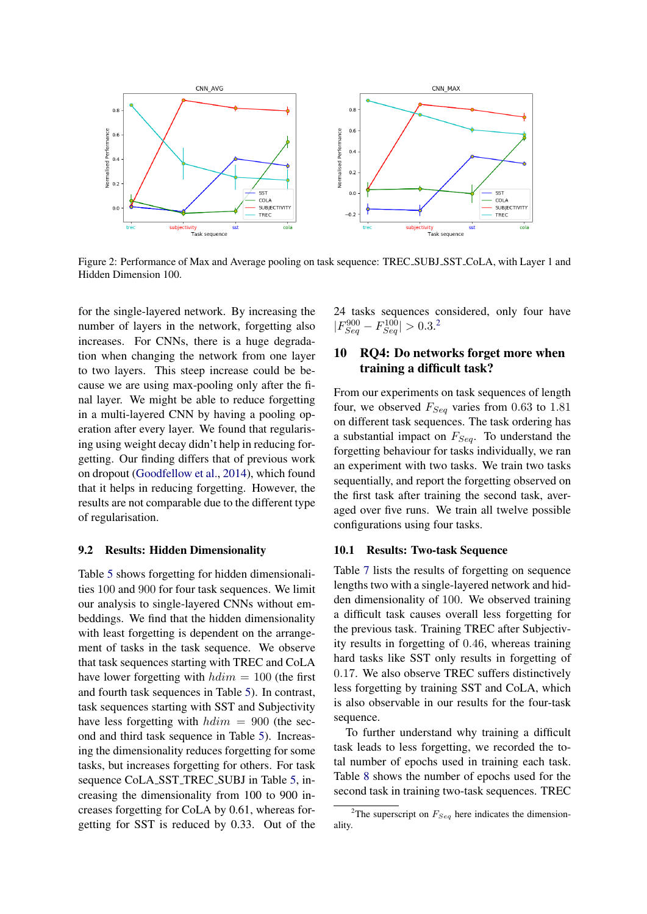<span id="page-6-1"></span>

Figure 2: Performance of Max and Average pooling on task sequence: TREC SUBJ SST CoLA, with Layer 1 and Hidden Dimension 100.

for the single-layered network. By increasing the number of layers in the network, forgetting also increases. For CNNs, there is a huge degradation when changing the network from one layer to two layers. This steep increase could be because we are using max-pooling only after the final layer. We might be able to reduce forgetting in a multi-layered CNN by having a pooling operation after every layer. We found that regularising using weight decay didn't help in reducing forgetting. Our finding differs that of previous work on dropout [\(Goodfellow et al.,](#page-8-2) [2014\)](#page-8-2), which found that it helps in reducing forgetting. However, the results are not comparable due to the different type of regularisation.

## 9.2 Results: Hidden Dimensionality

Table [5](#page-7-1) shows forgetting for hidden dimensionalities 100 and 900 for four task sequences. We limit our analysis to single-layered CNNs without embeddings. We find that the hidden dimensionality with least forgetting is dependent on the arrangement of tasks in the task sequence. We observe that task sequences starting with TREC and CoLA have lower forgetting with  $hdim = 100$  (the first and fourth task sequences in Table [5\)](#page-7-1). In contrast, task sequences starting with SST and Subjectivity have less forgetting with  $hdim = 900$  (the second and third task sequence in Table [5\)](#page-7-1). Increasing the dimensionality reduces forgetting for some tasks, but increases forgetting for others. For task sequence CoLA\_SST\_TREC\_SUBJ in Table [5,](#page-7-1) increasing the dimensionality from 100 to 900 increases forgetting for CoLA by 0.61, whereas forgetting for SST is reduced by 0.33. Out of the 24 tasks sequences considered, only four have  $|F_{Seq}^{900} - F_{Seq}^{100}| > 0.3$ <sup>[2](#page-0-0)</sup>

## <span id="page-6-0"></span>10 RQ4: Do networks forget more when training a difficult task?

From our experiments on task sequences of length four, we observed  $F_{Seq}$  varies from 0.63 to 1.81 on different task sequences. The task ordering has a substantial impact on  $F_{Seq}$ . To understand the forgetting behaviour for tasks individually, we ran an experiment with two tasks. We train two tasks sequentially, and report the forgetting observed on the first task after training the second task, averaged over five runs. We train all twelve possible configurations using four tasks.

#### 10.1 Results: Two-task Sequence

Table [7](#page-8-9) lists the results of forgetting on sequence lengths two with a single-layered network and hidden dimensionality of 100. We observed training a difficult task causes overall less forgetting for the previous task. Training TREC after Subjectivity results in forgetting of 0.46, whereas training hard tasks like SST only results in forgetting of 0.17. We also observe TREC suffers distinctively less forgetting by training SST and CoLA, which is also observable in our results for the four-task sequence.

To further understand why training a difficult task leads to less forgetting, we recorded the total number of epochs used in training each task. Table [8](#page-8-10) shows the number of epochs used for the second task in training two-task sequences. TREC

<sup>&</sup>lt;sup>2</sup>The superscript on  $F_{Seq}$  here indicates the dimensionality.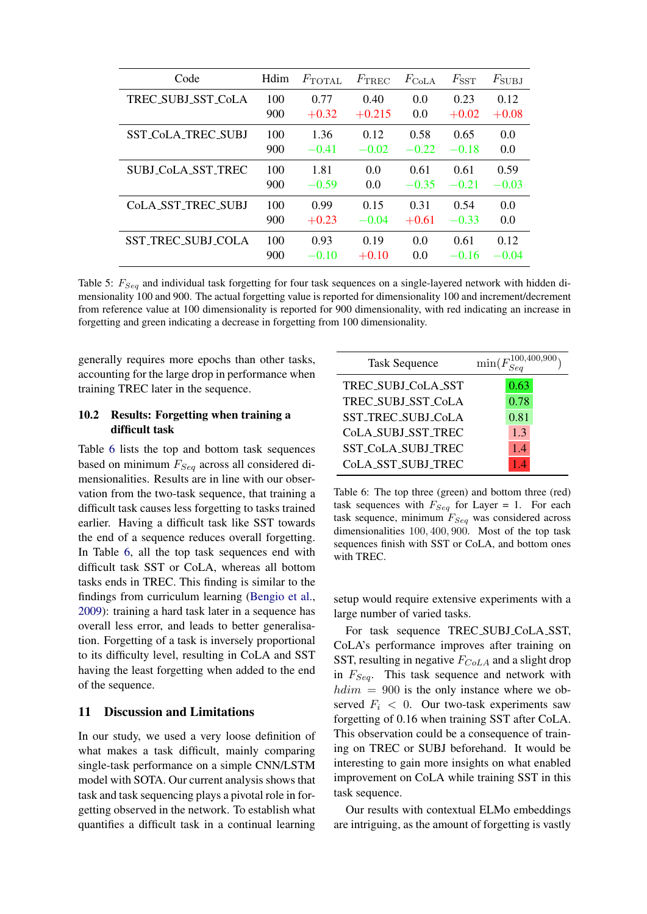<span id="page-7-1"></span>

| Code                      | Hdim | $F_{\text{TOTAL}}$ | $F_{\rm TREC}$ | $F_{\rm CoLA}$ | $F_{\mathrm{SST}}$ | $F_{\rm SUBJ}$ |
|---------------------------|------|--------------------|----------------|----------------|--------------------|----------------|
| TREC_SUBJ_SST_CoLA        | 100  | 0.77               | 0.40           | 0.0            | 0.23               | 0.12           |
|                           | 900  | $+0.32$            | $+0.215$       | 0.0            | $+0.02$            | $+0.08$        |
| <b>SST COLA TREC SUBJ</b> | 100  | 1.36               | 0.12           | 0.58           | 0.65               | $0.0^{\circ}$  |
|                           | 900  | $-0.41$            | $-0.02$        | $-0.22$        | $-0.18$            | 0.0            |
| <b>SUBJ_CoLA_SST_TREC</b> | 100  | 1.81               | 0.0            | 0.61           | 0.61               | 0.59           |
|                           | 900  | $-0.59$            | 0.0            | $-0.35$        | $-0.21$            | $-0.03$        |
| Cola SST TREC SUBJ        | 100  | 0.99               | 0.15           | 0.31           | 0.54               | 0.0            |
|                           | 900  | $+0.23$            | $-0.04$        | $+0.61$        | $-0.33$            | 0.0            |
| <b>SST_TREC_SUBJ_COLA</b> | 100  | 0.93               | 0.19           | 0.0            | 0.61               | 0.12           |
|                           | 900  | $-0.10$            | $+0.10$        | 0.0            | $-0.16$            | $-0.04$        |

Table 5:  $F_{Seq}$  and individual task forgetting for four task sequences on a single-layered network with hidden dimensionality 100 and 900. The actual forgetting value is reported for dimensionality 100 and increment/decrement from reference value at 100 dimensionality is reported for 900 dimensionality, with red indicating an increase in forgetting and green indicating a decrease in forgetting from 100 dimensionality.

generally requires more epochs than other tasks, accounting for the large drop in performance when training TREC later in the sequence.

## 10.2 Results: Forgetting when training a difficult task

Table [6](#page-7-0) lists the top and bottom task sequences based on minimum  $F_{Seq}$  across all considered dimensionalities. Results are in line with our observation from the two-task sequence, that training a difficult task causes less forgetting to tasks trained earlier. Having a difficult task like SST towards the end of a sequence reduces overall forgetting. In Table [6,](#page-7-0) all the top task sequences end with difficult task SST or CoLA, whereas all bottom tasks ends in TREC. This finding is similar to the findings from curriculum learning [\(Bengio et al.,](#page-8-0) [2009\)](#page-8-0): training a hard task later in a sequence has overall less error, and leads to better generalisation. Forgetting of a task is inversely proportional to its difficulty level, resulting in CoLA and SST having the least forgetting when added to the end of the sequence.

## 11 Discussion and Limitations

In our study, we used a very loose definition of what makes a task difficult, mainly comparing single-task performance on a simple CNN/LSTM model with SOTA. Our current analysis shows that task and task sequencing plays a pivotal role in forgetting observed in the network. To establish what quantifies a difficult task in a continual learning

<span id="page-7-0"></span>

| <b>Task Sequence</b> | $\min(F_{Sen}^{100,400,900})$ |
|----------------------|-------------------------------|
| TREC_SUBJ_CoLA_SST   | 0.63                          |
| TREC_SUBJ_SST_CoLA   | 0.78                          |
| SST_TREC_SUBJ_CoLA   | 0.81                          |
| CoLA_SUBJ_SST_TREC   | 1.3                           |
| SST_CoLA_SUBJ_TREC   | 1.4                           |
| CoLA_SST_SUBJ_TREC   |                               |

Table 6: The top three (green) and bottom three (red) task sequences with  $F_{Seq}$  for Layer = 1. For each task sequence, minimum  $F_{Seq}$  was considered across dimensionalities 100, 400, 900. Most of the top task sequences finish with SST or CoLA, and bottom ones with TREC.

setup would require extensive experiments with a large number of varied tasks.

For task sequence TREC SUBJ CoLA SST, CoLA's performance improves after training on SST, resulting in negative  $F_{CoLA}$  and a slight drop in  $F_{Seq}$ . This task sequence and network with  $hdim = 900$  is the only instance where we observed  $F_i < 0$ . Our two-task experiments saw forgetting of 0.16 when training SST after CoLA. This observation could be a consequence of training on TREC or SUBJ beforehand. It would be interesting to gain more insights on what enabled improvement on CoLA while training SST in this task sequence.

Our results with contextual ELMo embeddings are intriguing, as the amount of forgetting is vastly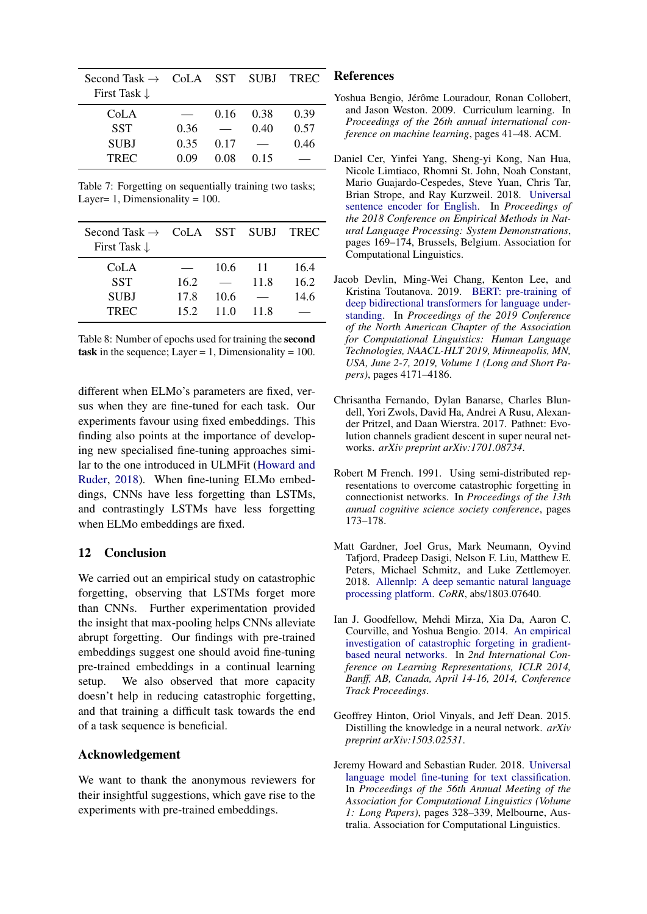<span id="page-8-9"></span>

| Second Task $\rightarrow$ CoLA SST SUBJ<br>First Task $\downarrow$ |      |      |      | <b>TREC</b> |
|--------------------------------------------------------------------|------|------|------|-------------|
| CoLA                                                               |      | 0.16 | 0.38 | 0.39        |
| <b>SST</b>                                                         | 0.36 |      | 0.40 | 0.57        |
| <b>SUBJ</b>                                                        | 0.35 | 0.17 |      | 0.46        |
| <b>TREC</b>                                                        | 0.09 | 0.08 | 0.15 |             |

Table 7: Forgetting on sequentially training two tasks; Layer= 1, Dimensionality =  $100$ .

<span id="page-8-10"></span>

| Second Task $\rightarrow$ CoLA SST SUBJ<br>First Task $\downarrow$ |      |      |      | <b>TREC</b> |
|--------------------------------------------------------------------|------|------|------|-------------|
| CoLA                                                               |      | 10.6 | -11  | 16.4        |
| <b>SST</b>                                                         | 16.2 |      | 11.8 | 16.2        |
| <b>SUBJ</b>                                                        | 17.8 | 10.6 |      | 14.6        |
| <b>TREC</b>                                                        | 152  | 11.0 | 11.8 |             |

Table 8: Number of epochs used for training the second task in the sequence; Layer = 1, Dimensionality =  $100$ .

different when ELMo's parameters are fixed, versus when they are fine-tuned for each task. Our experiments favour using fixed embeddings. This finding also points at the importance of developing new specialised fine-tuning approaches similar to the one introduced in ULMFit [\(Howard and](#page-8-1) [Ruder,](#page-8-1) [2018\)](#page-8-1). When fine-tuning ELMo embeddings, CNNs have less forgetting than LSTMs, and contrastingly LSTMs have less forgetting when ELMo embeddings are fixed.

## 12 Conclusion

We carried out an empirical study on catastrophic forgetting, observing that LSTMs forget more than CNNs. Further experimentation provided the insight that max-pooling helps CNNs alleviate abrupt forgetting. Our findings with pre-trained embeddings suggest one should avoid fine-tuning pre-trained embeddings in a continual learning setup. We also observed that more capacity doesn't help in reducing catastrophic forgetting, and that training a difficult task towards the end of a task sequence is beneficial.

## Acknowledgement

We want to thank the anonymous reviewers for their insightful suggestions, which gave rise to the experiments with pre-trained embeddings.

#### References

- <span id="page-8-0"></span>Yoshua Bengio, Jérôme Louradour, Ronan Collobert, and Jason Weston. 2009. Curriculum learning. In *Proceedings of the 26th annual international conference on machine learning*, pages 41–48. ACM.
- <span id="page-8-6"></span>Daniel Cer, Yinfei Yang, Sheng-yi Kong, Nan Hua, Nicole Limtiaco, Rhomni St. John, Noah Constant, Mario Guajardo-Cespedes, Steve Yuan, Chris Tar, Brian Strope, and Ray Kurzweil. 2018. [Universal](https://doi.org/10.18653/v1/D18-2029) [sentence encoder for English.](https://doi.org/10.18653/v1/D18-2029) In *Proceedings of the 2018 Conference on Empirical Methods in Natural Language Processing: System Demonstrations*, pages 169–174, Brussels, Belgium. Association for Computational Linguistics.
- <span id="page-8-5"></span>Jacob Devlin, Ming-Wei Chang, Kenton Lee, and Kristina Toutanova. 2019. [BERT: pre-training of](https://www.aclweb.org/anthology/N19-1423/) [deep bidirectional transformers for language under](https://www.aclweb.org/anthology/N19-1423/)[standing.](https://www.aclweb.org/anthology/N19-1423/) In *Proceedings of the 2019 Conference of the North American Chapter of the Association for Computational Linguistics: Human Language Technologies, NAACL-HLT 2019, Minneapolis, MN, USA, June 2-7, 2019, Volume 1 (Long and Short Papers)*, pages 4171–4186.
- <span id="page-8-8"></span>Chrisantha Fernando, Dylan Banarse, Charles Blundell, Yori Zwols, David Ha, Andrei A Rusu, Alexander Pritzel, and Daan Wierstra. 2017. Pathnet: Evolution channels gradient descent in super neural networks. *arXiv preprint arXiv:1701.08734*.
- <span id="page-8-3"></span>Robert M French. 1991. Using semi-distributed representations to overcome catastrophic forgetting in connectionist networks. In *Proceedings of the 13th annual cognitive science society conference*, pages 173–178.
- <span id="page-8-7"></span>Matt Gardner, Joel Grus, Mark Neumann, Oyvind Tafjord, Pradeep Dasigi, Nelson F. Liu, Matthew E. Peters, Michael Schmitz, and Luke Zettlemoyer. 2018. [Allennlp: A deep semantic natural language](http://arxiv.org/abs/1803.07640) [processing platform.](http://arxiv.org/abs/1803.07640) *CoRR*, abs/1803.07640.
- <span id="page-8-2"></span>Ian J. Goodfellow, Mehdi Mirza, Xia Da, Aaron C. Courville, and Yoshua Bengio. 2014. [An empirical](http://arxiv.org/abs/1312.6211) [investigation of catastrophic forgeting in gradient](http://arxiv.org/abs/1312.6211)[based neural networks.](http://arxiv.org/abs/1312.6211) In *2nd International Conference on Learning Representations, ICLR 2014, Banff, AB, Canada, April 14-16, 2014, Conference Track Proceedings*.
- <span id="page-8-4"></span>Geoffrey Hinton, Oriol Vinyals, and Jeff Dean. 2015. Distilling the knowledge in a neural network. *arXiv preprint arXiv:1503.02531*.
- <span id="page-8-1"></span>Jeremy Howard and Sebastian Ruder. 2018. [Universal](https://doi.org/10.18653/v1/P18-1031) [language model fine-tuning for text classification.](https://doi.org/10.18653/v1/P18-1031) In *Proceedings of the 56th Annual Meeting of the Association for Computational Linguistics (Volume 1: Long Papers)*, pages 328–339, Melbourne, Australia. Association for Computational Linguistics.